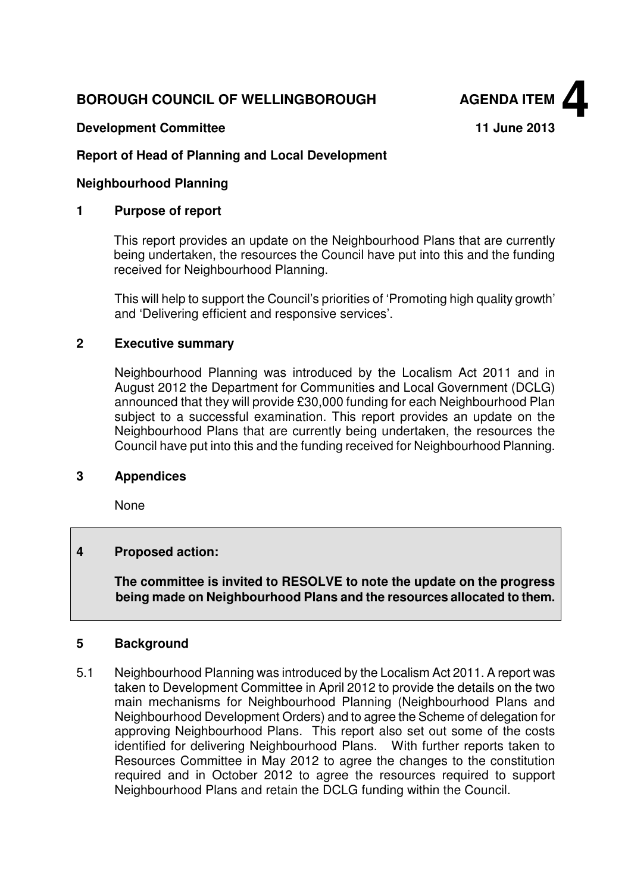# **BOROUGH COUNCIL OF WELLINGBOROUGH AGENDA ITEM**



## **Development Committee 11 June 2013**

# **Report of Head of Planning and Local Development**

## **Neighbourhood Planning**

#### **1 Purpose of report**

This report provides an update on the Neighbourhood Plans that are currently being undertaken, the resources the Council have put into this and the funding received for Neighbourhood Planning.

This will help to support the Council's priorities of 'Promoting high quality growth' and 'Delivering efficient and responsive services'.

#### **2 Executive summary**

Neighbourhood Planning was introduced by the Localism Act 2011 and in August 2012 the Department for Communities and Local Government (DCLG) announced that they will provide £30,000 funding for each Neighbourhood Plan subject to a successful examination. This report provides an update on the Neighbourhood Plans that are currently being undertaken, the resources the Council have put into this and the funding received for Neighbourhood Planning.

#### **3 Appendices**

None

#### **4 Proposed action:**

**The committee is invited to RESOLVE to note the update on the progress being made on Neighbourhood Plans and the resources allocated to them.** 

#### **5 Background**

5.1 Neighbourhood Planning was introduced by the Localism Act 2011. A report was taken to Development Committee in April 2012 to provide the details on the two main mechanisms for Neighbourhood Planning (Neighbourhood Plans and Neighbourhood Development Orders) and to agree the Scheme of delegation for approving Neighbourhood Plans. This report also set out some of the costs identified for delivering Neighbourhood Plans. With further reports taken to Resources Committee in May 2012 to agree the changes to the constitution required and in October 2012 to agree the resources required to support Neighbourhood Plans and retain the DCLG funding within the Council.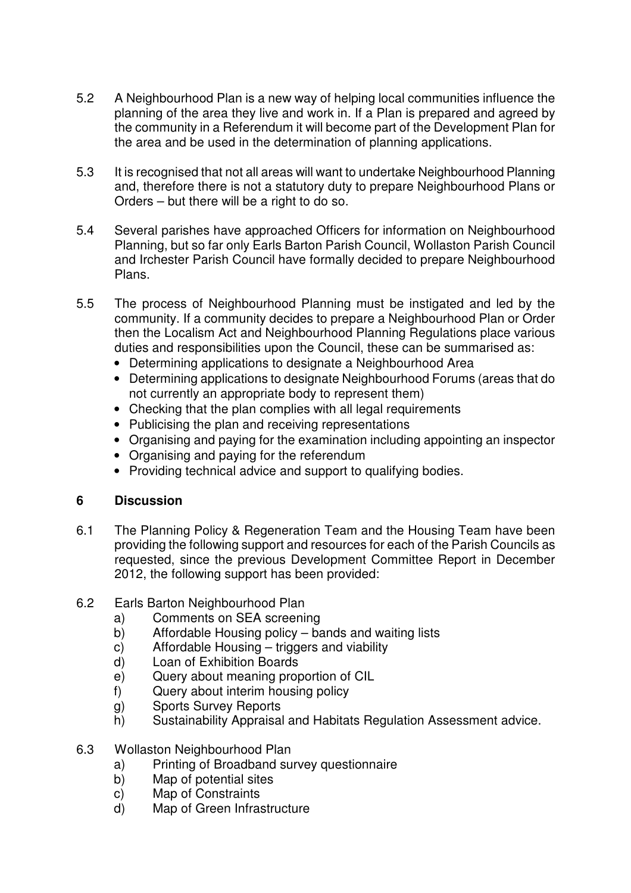- 5.2 A Neighbourhood Plan is a new way of helping local communities influence the planning of the area they live and work in. If a Plan is prepared and agreed by the community in a Referendum it will become part of the Development Plan for the area and be used in the determination of planning applications.
- 5.3 It is recognised that not all areas will want to undertake Neighbourhood Planning and, therefore there is not a statutory duty to prepare Neighbourhood Plans or Orders – but there will be a right to do so.
- 5.4 Several parishes have approached Officers for information on Neighbourhood Planning, but so far only Earls Barton Parish Council, Wollaston Parish Council and Irchester Parish Council have formally decided to prepare Neighbourhood Plans.
- 5.5 The process of Neighbourhood Planning must be instigated and led by the community. If a community decides to prepare a Neighbourhood Plan or Order then the Localism Act and Neighbourhood Planning Regulations place various duties and responsibilities upon the Council, these can be summarised as:
	- Determining applications to designate a Neighbourhood Area
	- Determining applications to designate Neighbourhood Forums (areas that do not currently an appropriate body to represent them)
	- Checking that the plan complies with all legal requirements
	- Publicising the plan and receiving representations
	- Organising and paying for the examination including appointing an inspector
	- Organising and paying for the referendum
	- Providing technical advice and support to qualifying bodies.

#### **6 Discussion**

- 6.1 The Planning Policy & Regeneration Team and the Housing Team have been providing the following support and resources for each of the Parish Councils as requested, since the previous Development Committee Report in December 2012, the following support has been provided:
- 6.2 Earls Barton Neighbourhood Plan
	- a) Comments on SEA screening
	- b) Affordable Housing policy bands and waiting lists
	- c) Affordable Housing triggers and viability
	- d) Loan of Exhibition Boards
	- e) Query about meaning proportion of CIL
	- f) Query about interim housing policy
	- g) Sports Survey Reports
	- h) Sustainability Appraisal and Habitats Regulation Assessment advice.
- 6.3 Wollaston Neighbourhood Plan
	- a) Printing of Broadband survey questionnaire
	- b) Map of potential sites
	- c) Map of Constraints
	- d) Map of Green Infrastructure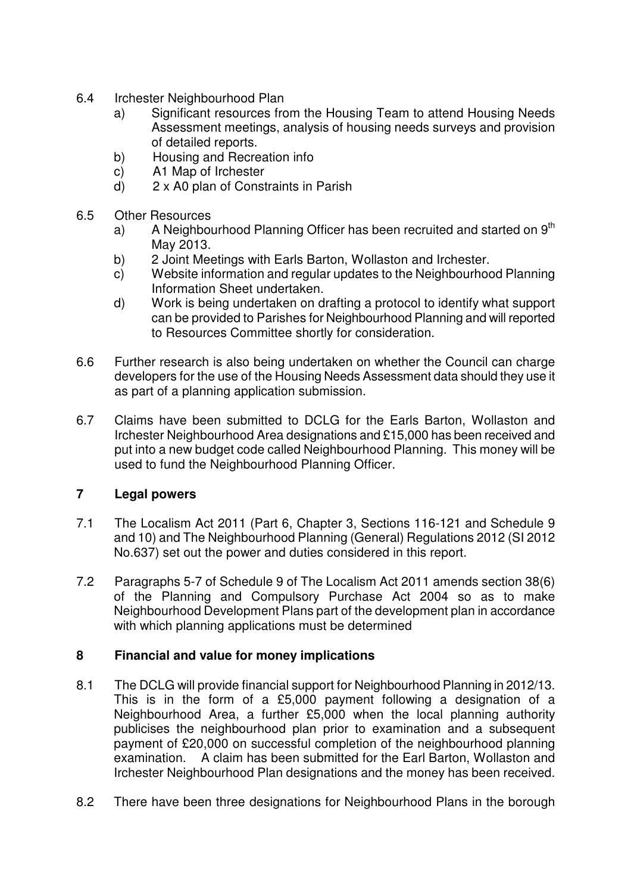- 6.4 Irchester Neighbourhood Plan
	- a) Significant resources from the Housing Team to attend Housing Needs Assessment meetings, analysis of housing needs surveys and provision of detailed reports.
	- b) Housing and Recreation info
	- c) A1 Map of Irchester
	- d) 2 x A0 plan of Constraints in Parish
- 6.5 Other Resources
	- a) A Neighbourhood Planning Officer has been recruited and started on  $9<sup>th</sup>$ May 2013.
	- b) 2 Joint Meetings with Earls Barton, Wollaston and Irchester.
	- c) Website information and regular updates to the Neighbourhood Planning Information Sheet undertaken.
	- d) Work is being undertaken on drafting a protocol to identify what support can be provided to Parishes for Neighbourhood Planning and will reported to Resources Committee shortly for consideration.
- 6.6 Further research is also being undertaken on whether the Council can charge developers for the use of the Housing Needs Assessment data should they use it as part of a planning application submission.
- 6.7 Claims have been submitted to DCLG for the Earls Barton, Wollaston and Irchester Neighbourhood Area designations and £15,000 has been received and put into a new budget code called Neighbourhood Planning. This money will be used to fund the Neighbourhood Planning Officer.

#### **7 Legal powers**

- 7.1 The Localism Act 2011 (Part 6, Chapter 3, Sections 116-121 and Schedule 9 and 10) and The Neighbourhood Planning (General) Regulations 2012 (SI 2012 No.637) set out the power and duties considered in this report.
- 7.2 Paragraphs 5-7 of Schedule 9 of The Localism Act 2011 amends section 38(6) of the Planning and Compulsory Purchase Act 2004 so as to make Neighbourhood Development Plans part of the development plan in accordance with which planning applications must be determined

#### **8 Financial and value for money implications**

- 8.1 The DCLG will provide financial support for Neighbourhood Planning in 2012/13. This is in the form of a £5,000 payment following a designation of a Neighbourhood Area, a further £5,000 when the local planning authority publicises the neighbourhood plan prior to examination and a subsequent payment of £20,000 on successful completion of the neighbourhood planning examination. A claim has been submitted for the Earl Barton, Wollaston and Irchester Neighbourhood Plan designations and the money has been received.
- 8.2 There have been three designations for Neighbourhood Plans in the borough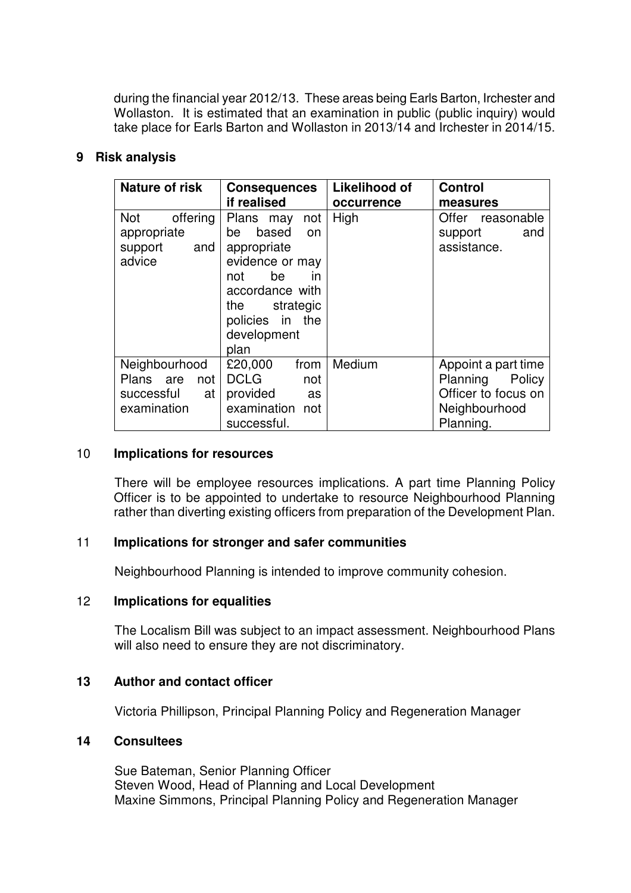during the financial year 2012/13. These areas being Earls Barton, Irchester and Wollaston. It is estimated that an examination in public (public inquiry) would take place for Earls Barton and Wollaston in 2013/14 and Irchester in 2014/15.

## **9 Risk analysis**

| <b>Nature of risk</b>                                             | <b>Consequences</b>                                                                                                                                                             | <b>Likelihood of</b> | <b>Control</b>                                                |
|-------------------------------------------------------------------|---------------------------------------------------------------------------------------------------------------------------------------------------------------------------------|----------------------|---------------------------------------------------------------|
|                                                                   | if realised                                                                                                                                                                     | occurrence           | measures                                                      |
| <b>Not</b><br>offering<br>appropriate<br>and<br>support<br>advice | Plans may<br>not<br>based<br>be<br>on<br>appropriate<br>evidence or may<br>be<br><i>in</i><br>not<br>accordance with<br>the strategic<br>policies in the<br>development<br>plan | High                 | Offer<br>reasonable<br>support<br>and<br>assistance.          |
| Neighbourhood<br>Plans are<br>not<br>successful<br>at             | £20,000<br>from<br><b>DCLG</b><br>not<br>provided<br>as                                                                                                                         | Medium               | Appoint a part time<br>Planning Policy<br>Officer to focus on |
| examination                                                       | examination<br>not<br>successful.                                                                                                                                               |                      | Neighbourhood<br>Planning.                                    |

#### 10 **Implications for resources**

There will be employee resources implications. A part time Planning Policy Officer is to be appointed to undertake to resource Neighbourhood Planning rather than diverting existing officers from preparation of the Development Plan.

## 11 **Implications for stronger and safer communities**

Neighbourhood Planning is intended to improve community cohesion.

#### 12 **Implications for equalities**

The Localism Bill was subject to an impact assessment. Neighbourhood Plans will also need to ensure they are not discriminatory.

#### **13 Author and contact officer**

Victoria Phillipson, Principal Planning Policy and Regeneration Manager

# **14 Consultees**

Sue Bateman, Senior Planning Officer Steven Wood, Head of Planning and Local Development Maxine Simmons, Principal Planning Policy and Regeneration Manager